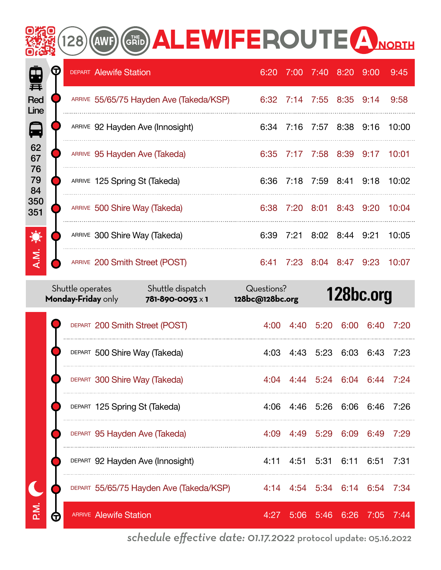#### **GRID ALEWIFEROUTE A NORTH** (AWF)  $128)$

| P.<br>葺            | G | <b>DEPART Alewife Station</b>           | 6:20 | 7:00 7:40 8:20 9:00      |           |                |      | 9:45  |
|--------------------|---|-----------------------------------------|------|--------------------------|-----------|----------------|------|-------|
| <b>Red</b><br>Line |   | ARRIVE 55/65/75 Hayden Ave (Takeda/KSP) |      | 6:32 7:14 7:55 8:35 9:14 |           |                |      | 9:58  |
| 日                  |   | ARRIVE 92 Hayden Ave (Innosight)        |      | 6:34 7:16 7:57 8:38 9:16 |           |                |      | 10:00 |
| 62<br>67           |   | ARRIVE 95 Hayden Ave (Takeda)           | 6:35 | 7:17 7:58 8:39 9:17      |           |                |      | 10:01 |
| 76<br>79<br>84     |   | ARRIVE 125 Spring St (Takeda)           | 6:36 | 7:18                     | 7:59 8:41 |                | 9:18 | 10:02 |
| 350<br>351         |   | ARRIVE 500 Shire Way (Takeda)           | 6:38 | 7:20                     | 8:01      | 8:43 9:20      |      | 10:04 |
| 食                  |   | ARRIVE 300 Shire Way (Takeda)           | 6:39 | 7:21                     |           | 8:02 8:44 9:21 |      | 10:05 |
| A.M.               |   | ARRIVE 200 Smith Street (POST)          | 6:41 | 7:23                     |           | 8:04 8:47 9:23 |      | 10:07 |

|        |   | Shuttle operates<br>Monday-Friday only | Shuttle dispatch<br>781-890-0093 x 1    | 128bc@128bc.org | Questions? |                      | 128bc.org                     |        |       |
|--------|---|----------------------------------------|-----------------------------------------|-----------------|------------|----------------------|-------------------------------|--------|-------|
|        |   | DEPART 200 Smith Street (POST)         |                                         |                 | 4:00       |                      | 4:40 5:20 6:00 6:40           |        | 7:20  |
|        |   | DEPART 500 Shire Way (Takeda)          |                                         |                 |            |                      | 4:03 4:43 5:23 6:03 6:43      |        | 7:23  |
|        |   | DEPART 300 Shire Way (Takeda)          |                                         |                 |            |                      | 4:04 4:44 5:24 6:04 6:44 7:24 |        |       |
|        |   | DEPART 125 Spring St (Takeda)          |                                         |                 |            |                      | 4:06 4:46 5:26 6:06 6:46      |        | 7:26  |
|        |   | DEPART 95 Hayden Ave (Takeda)          |                                         |                 |            | 4:09 4:49 5:29 6:09  |                               | 6:49   | 7:29  |
|        |   |                                        | DEPART 92 Hayden Ave (Innosight)        |                 |            | 4:11 4:51 5:31 6:11  |                               | 6:51   | 7:31  |
|        |   |                                        | DEPART 55/65/75 Hayden Ave (Takeda/KSP) |                 |            |                      | 4:14 4:54 5:34 6:14 6:54      |        | -7:34 |
| Σ<br>Æ | π | <b>ARRIVE Alewife Station</b>          |                                         |                 | 4:27       | $5:06$ $5:46$ $6:26$ |                               | - 7:05 | 7:44  |

*schedule effective date: 01.17.2022* protocol update: 05.16.2022